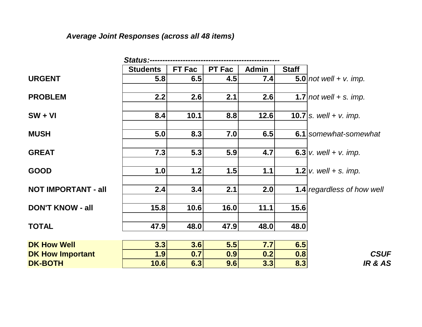# *Average Joint Responses (across all 48 items)*

|                            | <b>Status:--</b> |               |               |              |              |                                   |
|----------------------------|------------------|---------------|---------------|--------------|--------------|-----------------------------------|
|                            | <b>Students</b>  | <b>FT Fac</b> | <b>PT Fac</b> | <b>Admin</b> | <b>Staff</b> |                                   |
| <b>URGENT</b>              | 5.8              | 6.5           | 4.5           | 7.4          |              | $5.0$   not well + v. imp.        |
| <b>PROBLEM</b>             | 2.2              | 2.6           | 2.1           | 2.6          |              | 1.7 not well $+$ s. imp.          |
| $SW + VI$                  | 8.4              | 10.1          | 8.8           | 12.6         |              | <b>10.7</b>   s. well + v. imp.   |
| <b>MUSH</b>                | 5.0              | 8.3           | 7.0           | 6.5          |              | 6.1 somewhat-somewhat             |
| <b>GREAT</b>               | 7.3              | 5.3           | 5.9           | 4.7          |              | <b>6.3</b> v. well + v. imp.      |
| <b>GOOD</b>                | 1.0              | 1.2           | 1.5           | 1.1          |              | <b>1.2</b> $v.$ well + s. imp.    |
| <b>NOT IMPORTANT - all</b> | 2.4              | 3.4           | 2.1           | 2.0          |              | <b>1.4</b> regardless of how well |
| <b>DON'T KNOW - all</b>    | 15.8             | 10.6          | 16.0          | 11.1         | 15.6         |                                   |
| <b>TOTAL</b>               | 47.9             | 48.0          | 47.9          | 48.0         | 48.0         |                                   |
| <b>DK How Well</b>         | 3.3              | 3.6           | 5.5           | 7.7          | 6.5          |                                   |
| <b>DK How Important</b>    | 1.9              | 0.7           | 0.9           | 0.2          | 0.8          | <b>CSUF</b>                       |
| <b>DK-BOTH</b>             | 10.6             | 6.3           | 9.6           | 3.3          | 8.3          | <b>IR &amp; AS</b>                |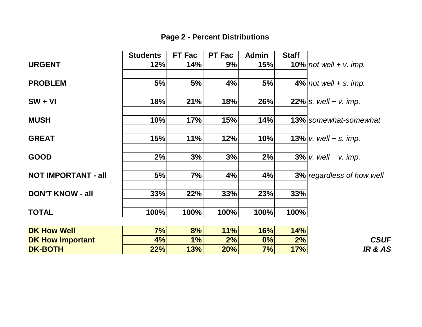|                            | <b>Students</b> | <b>FT Fac</b> | <b>PT Fac</b> | <b>Admin</b> | <b>Staff</b> |                                  |
|----------------------------|-----------------|---------------|---------------|--------------|--------------|----------------------------------|
| <b>URGENT</b>              | 12%             | 14%           | 9%            | 15%          |              | $10\%$   not well + v. imp.      |
| <b>PROBLEM</b>             | 5%              | 5%            | 4%            | 5%           |              | $4\%$ not well + s. imp.         |
| $SW + VI$                  | 18%             | 21%           | 18%           | 26%          |              | <b>22%</b>   s. well + v. imp.   |
| <b>MUSH</b>                | 10%             | 17%           | 15%           | 14%          |              | <b>13%</b> somewhat-somewhat     |
| <b>GREAT</b>               | 15%             | 11%           | 12%           | 10%          |              | 13% $v.$ well + s. imp.          |
| <b>GOOD</b>                | 2%              | 3%            | 3%            | 2%           |              | $3\%$ v. well + v. imp.          |
| <b>NOT IMPORTANT - all</b> | 5%              | 7%            | 4%            | 4%           |              | <b>3%</b> regardless of how well |
| <b>DON'T KNOW - all</b>    | 33%             | 22%           | 33%           | 23%          | 33%          |                                  |
| <b>TOTAL</b>               | 100%            | 100%          | 100%          | 100%         | 100%         |                                  |
| <b>DK How Well</b>         | 7%              | 8%            | 11%           | 16%          | 14%          |                                  |
| <b>DK How Important</b>    | 4%              | 1%            | 2%            | 0%           | 2%           | <b>CSUF</b>                      |
| <b>DK-BOTH</b>             | 22%             | 13%           | <b>20%</b>    | 7%           | 17%          | IR & AS                          |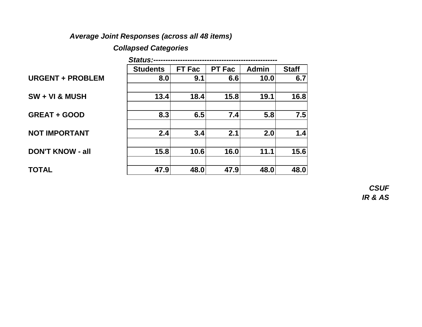### *Average Joint Responses (across all 48 items)*

### *Collapsed Categories*

|                         | <b>Status:-</b> |               |               |              |              |
|-------------------------|-----------------|---------------|---------------|--------------|--------------|
|                         | <b>Students</b> | <b>FT Fac</b> | <b>PT Fac</b> | <b>Admin</b> | <b>Staff</b> |
| <b>URGENT + PROBLEM</b> | 8.0             | 9.1           | 6.6           | 10.0         | 6.7          |
|                         |                 |               |               |              |              |
| $SW + VI & MUSH$        | 13.4            | 18.4          | 15.8          | 19.1         | 16.8         |
|                         |                 |               |               |              |              |
| <b>GREAT + GOOD</b>     | 8.3             | 6.5           | 7.4           | 5.8          | 7.5          |
|                         |                 |               |               |              |              |
| <b>NOT IMPORTANT</b>    | 2.4             | 3.4           | 2.1           | 2.0          | 1.4          |
|                         |                 |               |               |              |              |
| <b>DON'T KNOW - all</b> | 15.8            | 10.6          | 16.0          | 11.1         | 15.6         |
|                         |                 |               |               |              |              |
| <b>TOTAL</b>            | 47.9            | 48.0          | 47.9          | 48.0         | 48.0         |

*CSUF IR & AS*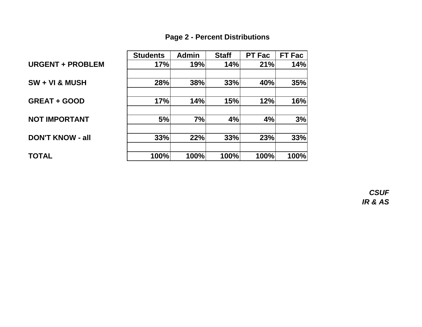|                           | <b>Students</b> | <b>Admin</b> | <b>Staff</b> | <b>PT Fac</b> | <b>FT Fac</b> |
|---------------------------|-----------------|--------------|--------------|---------------|---------------|
| <b>URGENT + PROBLEM</b>   | 17%             | 19%          | 14%          | 21%           | 14%           |
| <b>SW + VI &amp; MUSH</b> | 28%             | 38%          | 33%          | 40%           | 35%           |
| <b>GREAT + GOOD</b>       | 17%             | 14%          | 15%          | 12%           | 16%           |
| <b>NOT IMPORTANT</b>      | 5%              | 7%           | 4%           | 4%            | 3%            |
| <b>DON'T KNOW - all</b>   | 33%             | 22%          | 33%          | 23%           | 33%           |
| TOTAL                     | 100%            | 100%         | 100%         | 100%          | 100%          |

*CSUF IR & AS*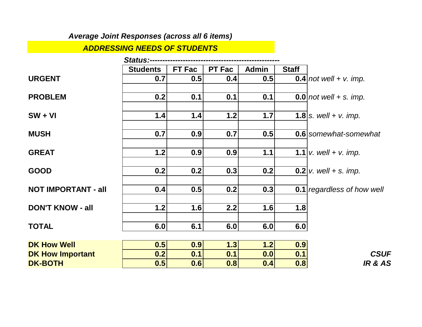### *Average Joint Responses (across all 6 items)*

#### *ADDRESSING NEEDS OF STUDENTS*

|                            | <b>Status:-----</b> |        |               |              |              |                                |
|----------------------------|---------------------|--------|---------------|--------------|--------------|--------------------------------|
|                            | <b>Students</b>     | FT Fac | <b>PT Fac</b> | <b>Admin</b> | <b>Staff</b> |                                |
| <b>URGENT</b>              | 0.7                 | 0.5    | 0.4           | 0.5          |              | $0.4$   not well + v. imp.     |
| <b>PROBLEM</b>             | 0.2                 | 0.1    | 0.1           | 0.1          |              | $0.0$  not well + s. imp.      |
| $SW + VI$                  | 1.4                 | 1.4    | 1.2           | 1.7          |              | <b>1.8</b> s. well + v. imp.   |
| <b>MUSH</b>                | 0.7                 | 0.9    | 0.7           | 0.5          |              | 0.6 somewhat-somewhat          |
| <b>GREAT</b>               | 1.2                 | 0.9    | 0.9           | 1.1          |              | <b>1.1</b>   v. well + v. imp. |
| <b>GOOD</b>                | 0.2                 | 0.2    | 0.3           | 0.2          |              | <b>0.2</b> v. well + s. imp.   |
| <b>NOT IMPORTANT - all</b> | 0.4                 | 0.5    | 0.2           | 0.3          |              | 0.1 regardless of how well     |
| <b>DON'T KNOW - all</b>    | 1.2                 | 1.6    | 2.2           | 1.6          | 1.8          |                                |
| <b>TOTAL</b>               | 6.0                 | 6.1    | 6.0           | 6.0          | 6.0          |                                |
| <b>DK How Well</b>         | 0.5                 | 0.9    | 1.3           | 1.2          | 0.9          |                                |
| <b>DK How Important</b>    | 0.2                 | 0.1    | 0.1           | 0.0          | 0.1          | <b>CSUF</b>                    |
| <b>DK-BOTH</b>             | 0.5                 | 0.6    | 0.8           | 0.4          | 0.8          | <b>IR &amp; AS</b>             |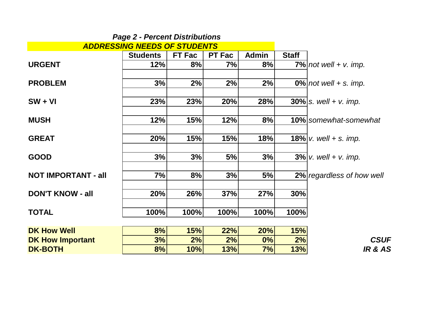|                                     | <b>Page 2 - Percent Distributions</b> |               |               |              |              |                              |
|-------------------------------------|---------------------------------------|---------------|---------------|--------------|--------------|------------------------------|
| <b>ADDRESSING NEEDS OF STUDENTS</b> |                                       |               |               |              |              |                              |
|                                     | <b>Students</b>                       | <b>FT Fac</b> | <b>PT Fac</b> | <b>Admin</b> | <b>Staff</b> |                              |
| <b>URGENT</b>                       | 12%                                   | 8%            | 7%            | 8%           |              | $7\%$   not well + v. imp.   |
| <b>PROBLEM</b>                      | 3%                                    | 2%            | 2%            | 2%           |              | $0\%$ not well + s. imp.     |
| $SW + VI$                           | 23%                                   | 23%           | 20%           | 28%          |              | $30\%$ s. well + v. imp.     |
| <b>MUSH</b>                         | 12%                                   | 15%           | 12%           | 8%           |              | <b>10%</b> somewhat-somewhat |
| <b>GREAT</b>                        | 20%                                   | 15%           | 15%           | 18%          |              | 18% $v.$ well + s. imp.      |
| <b>GOOD</b>                         | 3%                                    | 3%            | 5%            | 3%           |              | $3\%$ v. well + v. imp.      |
| <b>NOT IMPORTANT - all</b>          | 7%                                    | 8%            | 3%            | 5%           |              | 2% regardless of how well    |
| <b>DON'T KNOW - all</b>             | 20%                                   | 26%           | 37%           | 27%          | 30%          |                              |
| <b>TOTAL</b>                        | 100%                                  | 100%          | 100%          | 100%         | 100%         |                              |
| <b>DK How Well</b>                  | 8%                                    | 15%           | 22%           | 20%          | 15%          |                              |
| <b>DK How Important</b>             | 3%                                    | 2%            | 2%            | 0%           | 2%           | <b>CSUF</b>                  |
| <b>DK-BOTH</b>                      | 8%                                    | 10%           | 13%           | 7%           | 13%          | <b>IR &amp; AS</b>           |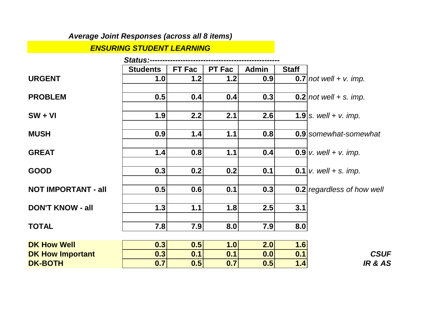### *Average Joint Responses (across all 8 items)*

#### *ENSURING STUDENT LEARNING*

|                            | <b>Status:--</b> |        |               |              |              |                                |
|----------------------------|------------------|--------|---------------|--------------|--------------|--------------------------------|
|                            | <b>Students</b>  | FT Fac | <b>PT Fac</b> | <b>Admin</b> | <b>Staff</b> |                                |
| <b>URGENT</b>              | 1.0              | 1.2    | $1.2$         | 0.9          |              | $0.7$ not well + v. imp.       |
| <b>PROBLEM</b>             | 0.5              | 0.4    | 0.4           | 0.3          |              | $0.2$   not well + s. imp.     |
| $SW + VI$                  | 1.9              | 2.2    | 2.1           | 2.6          |              | <b>1.9</b> s. well + v. imp.   |
| <b>MUSH</b>                | 0.9              | 1.4    | 1.1           | 0.8          |              | 0.9 somewhat-somewhat          |
| <b>GREAT</b>               | 1.4              | 0.8    | 1.1           | 0.4          |              | <b>0.9</b> v. well + v. imp.   |
| <b>GOOD</b>                | 0.3              | 0.2    | 0.2           | 0.1          |              | <b>0.1</b>   v. well + s. imp. |
| <b>NOT IMPORTANT - all</b> | 0.5              | 0.6    | 0.1           | 0.3          |              | 0.2 regardless of how well     |
| <b>DON'T KNOW - all</b>    | 1.3              | 1.1    | 1.8           | 2.5          | 3.1          |                                |
| <b>TOTAL</b>               | 7.8              | 7.9    | 8.0           | 7.9          | 8.0          |                                |
| <b>DK How Well</b>         | 0.3              | 0.5    | 1.0           | 2.0          | 1.6          |                                |
| <b>DK How Important</b>    | 0.3              | 0.1    | 0.1           | 0.0          | 0.1          | <b>CSUF</b>                    |
| <b>DK-BOTH</b>             | 0.7              | 0.5    | 0.7           | 0.5          | 1.4          | <b>IR &amp; AS</b>             |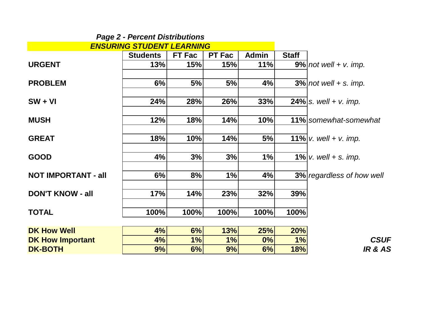| <b>ENSURING STUDENT LEARNING</b> |                 |               |               |              |              |                                            |
|----------------------------------|-----------------|---------------|---------------|--------------|--------------|--------------------------------------------|
|                                  | <b>Students</b> | <b>FT Fac</b> | <b>PT Fac</b> | <b>Admin</b> | <b>Staff</b> |                                            |
| <b>URGENT</b>                    | 13%             | 15%           | 15%           | 11%          |              | $9\%$   not well + v. imp.                 |
| <b>PROBLEM</b>                   | 6%              | 5%            | 5%            | 4%           |              | $3\%$ not well + s. imp.                   |
| $SW + VI$                        | 24%             | 28%           | 26%           | 33%          |              | <b>24%</b> <i>s.</i> well + <i>v.</i> imp. |
| <b>MUSH</b>                      | 12%             | 18%           | 14%           | 10%          |              | 11% somewhat-somewhat                      |
| <b>GREAT</b>                     | 18%             | 10%           | 14%           | 5%           |              | <b>11%</b> $ v.$ well + v. imp.            |
| <b>GOOD</b>                      | 4%              | 3%            | 3%            | 1%           |              | <b>1%</b> $v.$ well + s. imp.              |
| <b>NOT IMPORTANT - all</b>       | 6%              | 8%            | 1%            | 4%           |              | <b>3%</b> regardless of how well           |
| <b>DON'T KNOW - all</b>          | 17%             | 14%           | 23%           | 32%          | 39%          |                                            |
| <b>TOTAL</b>                     | 100%            | 100%          | 100%          | 100%         | 100%         |                                            |
| <b>DK How Well</b>               | 4%              | 6%            | 13%           | 25%          | 20%          |                                            |
| <b>DK How Important</b>          | 4%              | 1%            | 1%            | 0%           | 1%           | <b>CSUF</b>                                |
| <b>DK-BOTH</b>                   | 9%              | 6%            | 9%            | 6%           | 18%          | <b>IR &amp; AS</b>                         |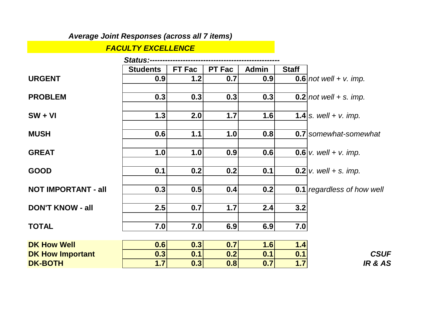### *Average Joint Responses (across all 7 items)*

#### *FACULTY EXCELLENCE*

|                            | <b>Status:-----</b> |        |               |              |              |                                       |
|----------------------------|---------------------|--------|---------------|--------------|--------------|---------------------------------------|
|                            | <b>Students</b>     | FT Fac | <b>PT Fac</b> | <b>Admin</b> | <b>Staff</b> |                                       |
| <b>URGENT</b>              | 0.9                 | 1.2    | 0.7           | 0.9          |              | $0.6$   not well + v. imp.            |
| <b>PROBLEM</b>             | 0.3                 | 0.3    | 0.3           | 0.3          |              | $0.2$ not well + s. imp.              |
| $SW + VI$                  | 1.3                 | 2.0    | 1.7           | 1.6          |              | <b>1.4</b> s. well + v. imp.          |
| <b>MUSH</b>                | 0.6                 | 1.1    | 1.0           | 0.8          |              | <b>0.7</b> somewhat-somewhat          |
| <b>GREAT</b>               | 1.0                 | 1.0    | 0.9           | 0.6          |              | <b>0.6</b> v. well + v. imp.          |
| <b>GOOD</b>                | 0.1                 | 0.2    | 0.2           | 0.1          |              | <b>0.2</b>   <i>v.</i> well + s. imp. |
| <b>NOT IMPORTANT - all</b> | 0.3                 | 0.5    | 0.4           | 0.2          |              | <b>0.1</b> regardless of how well     |
| <b>DON'T KNOW - all</b>    | 2.5                 | 0.7    | 1.7           | 2.4          | 3.2          |                                       |
| <b>TOTAL</b>               | 7.0                 | 7.0    | 6.9           | 6.9          | 7.0          |                                       |
| <b>DK How Well</b>         | 0.6                 | 0.3    | 0.7           | 1.6          | 1.4          |                                       |
| <b>DK How Important</b>    | 0.3                 | 0.1    | 0.2           | 0.1          | 0.1          | <b>CSUF</b>                           |
| <b>DK-BOTH</b>             | 1.7                 | 0.3    | 0.8           | 0.7          | 1.7          | <b>IR &amp; AS</b>                    |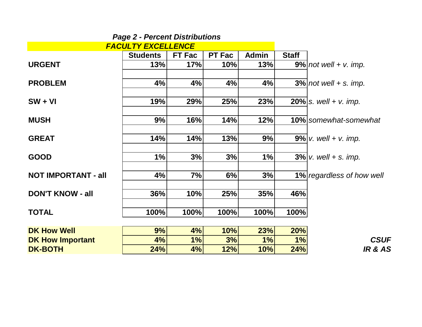| <b>FACULTY EXCELLENCE</b>  |                 |        |               |              |              |                              |
|----------------------------|-----------------|--------|---------------|--------------|--------------|------------------------------|
|                            | <b>Students</b> | FT Fac | <b>PT Fac</b> | <b>Admin</b> | <b>Staff</b> |                              |
| <b>URGENT</b>              | 13%             | 17%    | 10%           | 13%          |              | $9\%$   not well + v. imp.   |
| <b>PROBLEM</b>             | 4%              | 4%     | 4%            | 4%           |              | $3\%$ not well + s. imp.     |
| $SW + VI$                  | 19%             | 29%    | 25%           | 23%          |              | <b>20%</b> s. well + v. imp. |
| <b>MUSH</b>                | 9%              | 16%    | 14%           | 12%          |              | <b>10%</b> somewhat-somewhat |
| <b>GREAT</b>               | 14%             | 14%    | 13%           | 9%           |              | $9\%$ v. well + v. imp.      |
| <b>GOOD</b>                | 1%              | 3%     | 3%            | 1%           |              | $3\%$ v. well + s. imp.      |
| <b>NOT IMPORTANT - all</b> | 4%              | 7%     | 6%            | 3%           |              | 1% regardless of how well    |
| <b>DON'T KNOW - all</b>    | 36%             | 10%    | 25%           | 35%          | 46%          |                              |
| <b>TOTAL</b>               | 100%            | 100%   | 100%          | 100%         | 100%         |                              |
| <b>DK How Well</b>         | 9%              | 4%     | 10%           | 23%          | 20%          |                              |
| <b>DK How Important</b>    | 4%              | 1%     | 3%            | 1%           | 1%           | <b>CSUF</b>                  |
| <b>DK-BOTH</b>             | 24%             | 4%     | 12%           | 10%          | 24%          | <b>IR &amp; AS</b>           |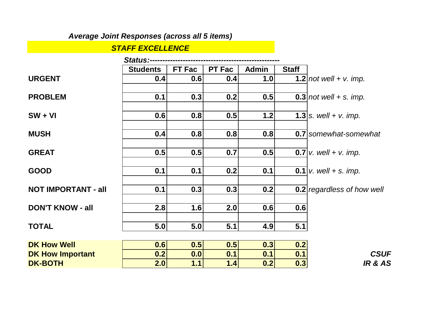### *Average Joint Responses (across all 5 items)*

#### *STAFF EXCELLENCE*

|                            | <b>Status:----</b> |        |               |              |              |                                              |
|----------------------------|--------------------|--------|---------------|--------------|--------------|----------------------------------------------|
|                            | <b>Students</b>    | FT Fac | <b>PT Fac</b> | <b>Admin</b> | <b>Staff</b> |                                              |
| <b>URGENT</b>              | 0.4                | 0.6    | 0.4           | 1.0          |              | 1.2 not well + $v$ . imp.                    |
| <b>PROBLEM</b>             | 0.1                | 0.3    | 0.2           | 0.5          |              | $0.3$ not well + s. imp.                     |
| $SW + VI$                  | 0.6                | 0.8    | 0.5           | 1.2          |              | <b>1.3</b> <i>s. well</i> + <i>v. imp.</i>   |
| <b>MUSH</b>                | 0.4                | 0.8    | 0.8           | 0.8          |              | <b>0.7</b> somewhat-somewhat                 |
| <b>GREAT</b>               | 0.5                | 0.5    | 0.7           | 0.5          |              | <b>0.7</b>   <i>v.</i> well + <i>v.</i> imp. |
| <b>GOOD</b>                | 0.1                | 0.1    | 0.2           | 0.1          |              | <b>0.1</b>   v. well + s. imp.               |
| <b>NOT IMPORTANT - all</b> | 0.1                | 0.3    | 0.3           | 0.2          |              | 0.2 regardless of how well                   |
| <b>DON'T KNOW - all</b>    | 2.8                | 1.6    | 2.0           | 0.6          | 0.6          |                                              |
| <b>TOTAL</b>               | 5.0                | 5.0    | 5.1           | 4.9          | 5.1          |                                              |
| <b>DK How Well</b>         | 0.6                | 0.5    | 0.5           | 0.3          | 0.2          |                                              |
| <b>DK How Important</b>    | 0.2                | 0.0    | 0.1           | 0.1          | 0.1          | <b>CSUF</b>                                  |
| <b>DK-BOTH</b>             | 2.0                | 1.1    | 1.4           | 0.2          | 0.3          | <b>IR &amp; AS</b>                           |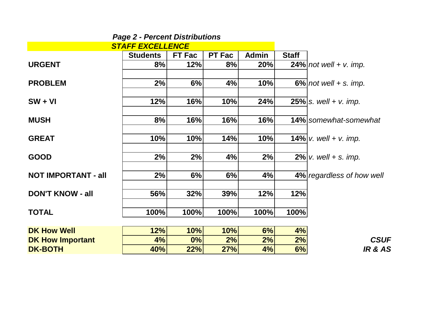| <b>STAFF EXCELLENCE</b>    |                 |               |               |              |              |                                 |
|----------------------------|-----------------|---------------|---------------|--------------|--------------|---------------------------------|
|                            | <b>Students</b> | <b>FT Fac</b> | <b>PT Fac</b> | <b>Admin</b> | <b>Staff</b> |                                 |
| <b>URGENT</b>              | 8%              | 12%           | 8%            | 20%          |              | $24\%$ not well + v. imp.       |
| <b>PROBLEM</b>             | 2%              | 6%            | 4%            | 10%          |              | $6\%$   not well + s. imp.      |
| $SW + VI$                  | 12%             | 16%           | 10%           | 24%          |              | <b>25%</b> s. well + v. imp.    |
| <b>MUSH</b>                | 8%              | 16%           | 16%           | 16%          |              | <b>14%</b> somewhat-somewhat    |
| <b>GREAT</b>               | 10%             | 10%           | 14%           | 10%          |              | <b>14%</b> $ v.$ well + v. imp. |
| <b>GOOD</b>                | 2%              | 2%            | 4%            | 2%           |              | <b>2%</b> $ v.$ well + s. imp.  |
| <b>NOT IMPORTANT - all</b> | 2%              | 6%            | 6%            | 4%           |              | 4% regardless of how well       |
| <b>DON'T KNOW - all</b>    | 56%             | 32%           | 39%           | 12%          | 12%          |                                 |
| <b>TOTAL</b>               | 100%            | 100%          | 100%          | 100%         | 100%         |                                 |
| <b>DK How Well</b>         | 12%             | 10%           | 10%           | 6%           | 4%           |                                 |
| <b>DK How Important</b>    | 4%              | $0\%$         | 2%            | 2%           | 2%           | <b>CSUF</b>                     |
| <b>DK-BOTH</b>             | 40%             | 22%           | 27%           | 4%           | 6%           | <b>IR &amp; AS</b>              |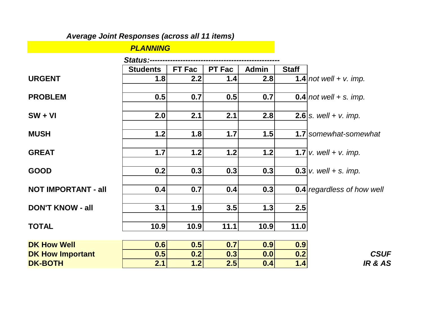# *Average Joint Responses (across all 11 items)*

| <b>PLANNING</b> |  |  |  |  |  |  |  |
|-----------------|--|--|--|--|--|--|--|
|-----------------|--|--|--|--|--|--|--|

|                            | <b>Status:--</b> |               |               |              |              |                                              |
|----------------------------|------------------|---------------|---------------|--------------|--------------|----------------------------------------------|
|                            | <b>Students</b>  | <b>FT Fac</b> | <b>PT Fac</b> | <b>Admin</b> | <b>Staff</b> |                                              |
| <b>URGENT</b>              | 1.8              | 2.2           | 1.4           | 2.8          |              | 1.4   not well + $v$ . imp.                  |
| <b>PROBLEM</b>             | 0.5              | 0.7           | 0.5           | 0.7          |              | $0.4$   not well + s. imp.                   |
| $SW + VI$                  | 2.0              | 2.1           | 2.1           | 2.8          |              | <b>2.6</b>   s. well + v. imp.               |
| <b>MUSH</b>                | 1.2              | 1.8           | 1.7           | 1.5          |              | 1.7 somewhat-somewhat                        |
| <b>GREAT</b>               | 1.7              | 1.2           | $1.2$         | 1.2          |              | <b>1.7</b>   <i>v.</i> well + <i>v.</i> imp. |
| <b>GOOD</b>                | 0.2              | 0.3           | 0.3           | 0.3          |              | <b>0.3</b> v. well + s. imp.                 |
| <b>NOT IMPORTANT - all</b> | 0.4              | 0.7           | 0.4           | 0.3          |              | <b>0.4</b> regardless of how well            |
| <b>DON'T KNOW - all</b>    | 3.1              | 1.9           | 3.5           | 1.3          | 2.5          |                                              |
| <b>TOTAL</b>               | 10.9             | 10.9          | 11.1          | 10.9         | 11.0         |                                              |
| <b>DK How Well</b>         | 0.6              | 0.5           | 0.7           | 0.9          | 0.9          |                                              |
| <b>DK How Important</b>    | 0.5              | 0.2           | 0.3           | 0.0          | 0.2          | <b>CSUF</b>                                  |
| <b>DK-BOTH</b>             | 2.1              | 1.2           | 2.5           | 0.4          | 1.4          | <b>IR &amp; AS</b>                           |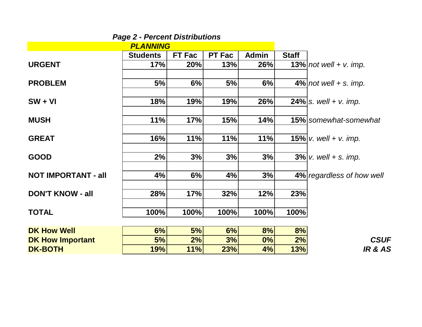|                            | <b>Page 2 - Percent Distributions</b> |        |               |              |              |                                |
|----------------------------|---------------------------------------|--------|---------------|--------------|--------------|--------------------------------|
|                            | <b>PLANNING</b>                       |        |               |              |              |                                |
|                            | <b>Students</b>                       | FT Fac | <b>PT Fac</b> | <b>Admin</b> | <b>Staff</b> |                                |
| <b>URGENT</b>              | 17%                                   | 20%    | 13%           | 26%          |              | $13\%$   not well + v. imp.    |
| <b>PROBLEM</b>             | 5%                                    | 6%     | 5%            | 6%           |              | $4\%$   not well + s. imp.     |
| $SW + VI$                  | 18%                                   | 19%    | 19%           | 26%          |              | <b>24%</b>   s. well + v. imp. |
| <b>MUSH</b>                | 11%                                   | 17%    | 15%           | 14%          |              | <b>15%</b> somewhat-somewhat   |
| <b>GREAT</b>               | 16%                                   | 11%    | 11%           | 11%          |              | 15% $v.$ well + v. imp.        |
| <b>GOOD</b>                | 2%                                    | 3%     | 3%            | 3%           |              | $3\%$ v. well + s. imp.        |
| <b>NOT IMPORTANT - all</b> | 4%                                    | 6%     | 4%            | 3%           |              | 4% regardless of how well      |
| <b>DON'T KNOW - all</b>    | 28%                                   | 17%    | 32%           | 12%          | 23%          |                                |
| <b>TOTAL</b>               | 100%                                  | 100%   | 100%          | 100%         | 100%         |                                |
| <b>DK How Well</b>         | 6%                                    | 5%     | 6%            | 8%           | 8%           |                                |
| <b>DK How Important</b>    | 5%                                    | 2%     | 3%            | 0%           | 2%           | <b>CSUF</b>                    |
| <b>DK-BOTH</b>             | 19%                                   | 11%    | 23%           | 4%           | 13%          | <b>IR &amp; AS</b>             |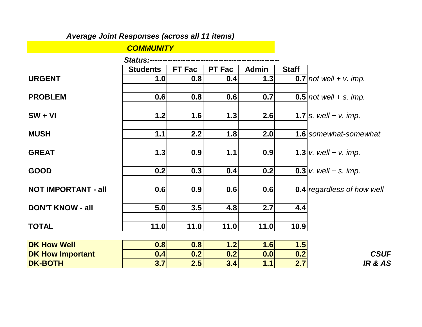### *Average Joint Responses (across all 11 items)*

#### *COMMUNITY*

|                            | Status:--       |               |               |              |              |                                            |
|----------------------------|-----------------|---------------|---------------|--------------|--------------|--------------------------------------------|
|                            | <b>Students</b> | <b>FT Fac</b> | <b>PT Fac</b> | <b>Admin</b> | <b>Staff</b> |                                            |
| <b>URGENT</b>              | 1.0             | 0.8           | 0.4           | 1.3          |              | $0.7$ not well + v. imp.                   |
| <b>PROBLEM</b>             | 0.6             | 0.8           | 0.6           | 0.7          |              | $0.5$   not well + s. imp.                 |
| $SW + VI$                  | 1.2             | 1.6           | 1.3           | 2.6          |              | <b>1.7</b>   s. well + v. imp.             |
| <b>MUSH</b>                | 1.1             | 2.2           | 1.8           | 2.0          |              | <b>1.6</b> somewhat-somewhat               |
| <b>GREAT</b>               | 1.3             | 0.9           | 1.1           | 0.9          |              | <b>1.3</b> <i>v. well</i> + <i>v. imp.</i> |
| <b>GOOD</b>                | 0.2             | 0.3           | 0.4           | 0.2          |              | <b>0.3</b> v. well + s. imp.               |
| <b>NOT IMPORTANT - all</b> | 0.6             | 0.9           | 0.6           | 0.6          |              | <b>0.4</b> regardless of how well          |
| <b>DON'T KNOW - all</b>    | 5.0             | 3.5           | 4.8           | 2.7          | 4.4          |                                            |
| <b>TOTAL</b>               | 11.0            | 11.0          | 11.0          | 11.0         | 10.9         |                                            |
| <b>DK How Well</b>         | 0.8             | 0.8           | 1.2           | 1.6          | 1.5          |                                            |
| <b>DK How Important</b>    | 0.4             | 0.2           | 0.2           | 0.0          | 0.2          | <b>CSUF</b>                                |
| <b>DK-BOTH</b>             | 3.7             | 2.5           | 3.4           | 1.1          | 2.7          | <b>IR &amp; AS</b>                         |